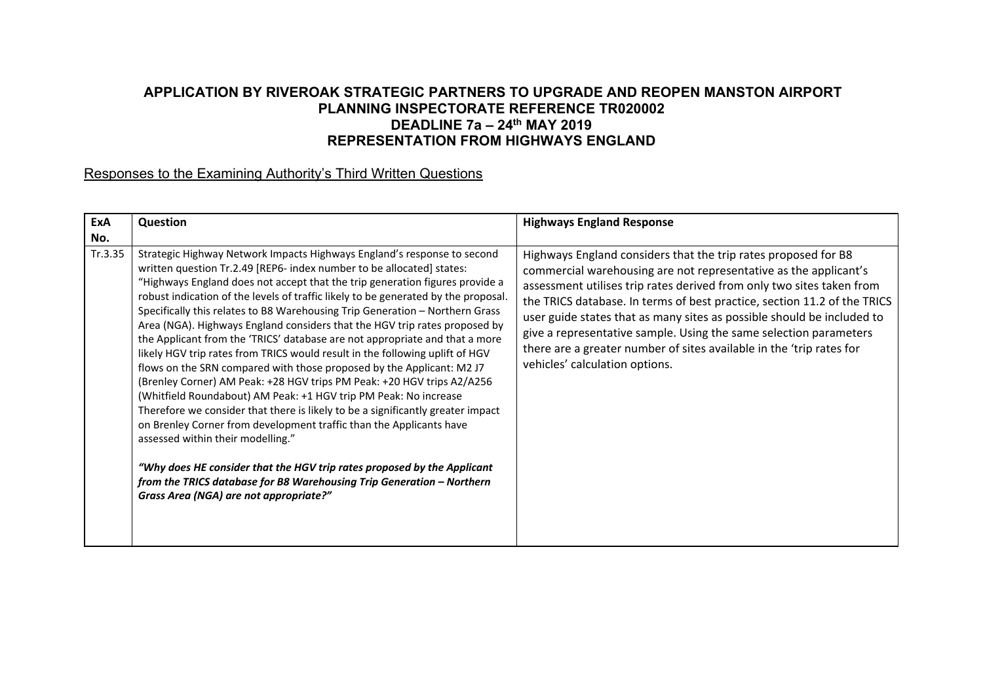## **APPLICATION BY RIVEROAK STRATEGIC PARTNERS TO UPGRADE AND REOPEN MANSTON AIRPORT PLANNING INSPECTORATE REFERENCE TR020002 DEADLINE 7a – 24th MAY 2019 REPRESENTATION FROM HIGHWAYS ENGLAND**

## Responses to the Examining Authority's Third Written Questions

| ExA            | Question                                                                                                                                                                                                                                                                                                                                                                                                                                                                                                                                                                                                                                                                                                                                                                                                                                                                                                                                                                                                                                                                                                                                                                                                                                                                | <b>Highways England Response</b>                                                                                                                                                                                                                                                                                                                                                                                                                                                                                                                 |
|----------------|-------------------------------------------------------------------------------------------------------------------------------------------------------------------------------------------------------------------------------------------------------------------------------------------------------------------------------------------------------------------------------------------------------------------------------------------------------------------------------------------------------------------------------------------------------------------------------------------------------------------------------------------------------------------------------------------------------------------------------------------------------------------------------------------------------------------------------------------------------------------------------------------------------------------------------------------------------------------------------------------------------------------------------------------------------------------------------------------------------------------------------------------------------------------------------------------------------------------------------------------------------------------------|--------------------------------------------------------------------------------------------------------------------------------------------------------------------------------------------------------------------------------------------------------------------------------------------------------------------------------------------------------------------------------------------------------------------------------------------------------------------------------------------------------------------------------------------------|
| No.<br>Tr.3.35 | Strategic Highway Network Impacts Highways England's response to second<br>written question Tr.2.49 [REP6- index number to be allocated] states:<br>"Highways England does not accept that the trip generation figures provide a<br>robust indication of the levels of traffic likely to be generated by the proposal.<br>Specifically this relates to B8 Warehousing Trip Generation - Northern Grass<br>Area (NGA). Highways England considers that the HGV trip rates proposed by<br>the Applicant from the 'TRICS' database are not appropriate and that a more<br>likely HGV trip rates from TRICS would result in the following uplift of HGV<br>flows on the SRN compared with those proposed by the Applicant: M2 J7<br>(Brenley Corner) AM Peak: +28 HGV trips PM Peak: +20 HGV trips A2/A256<br>(Whitfield Roundabout) AM Peak: +1 HGV trip PM Peak: No increase<br>Therefore we consider that there is likely to be a significantly greater impact<br>on Brenley Corner from development traffic than the Applicants have<br>assessed within their modelling."<br>"Why does HE consider that the HGV trip rates proposed by the Applicant<br>from the TRICS database for B8 Warehousing Trip Generation - Northern<br>Grass Area (NGA) are not appropriate?" | Highways England considers that the trip rates proposed for B8<br>commercial warehousing are not representative as the applicant's<br>assessment utilises trip rates derived from only two sites taken from<br>the TRICS database. In terms of best practice, section 11.2 of the TRICS<br>user guide states that as many sites as possible should be included to<br>give a representative sample. Using the same selection parameters<br>there are a greater number of sites available in the 'trip rates for<br>vehicles' calculation options. |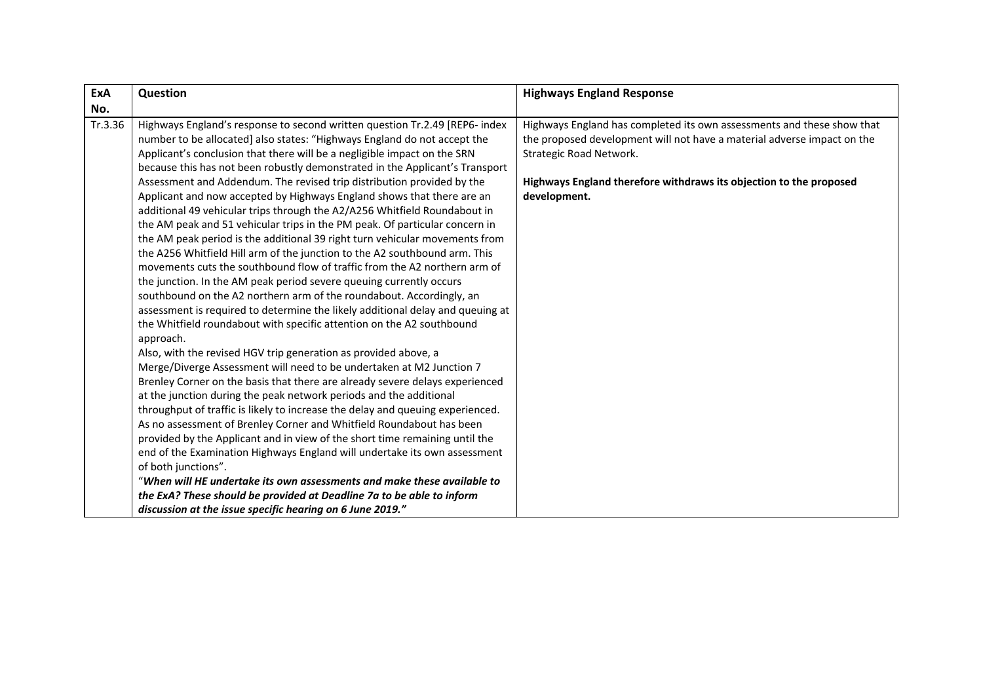| ExA     | Question                                                                                                                                                                                                                                                                                                                                                                                                                                                                                                                                                                                                                                                                                                                                                                                                                                                                                                                                                                                                                                                                                                                                                                                                                                                                                                                                                                                                                                                                                                                                                                                                                                                                                                                                                                                                                                                                                                                                                                                               | <b>Highways England Response</b>                                                                                                                                                                                                                                   |
|---------|--------------------------------------------------------------------------------------------------------------------------------------------------------------------------------------------------------------------------------------------------------------------------------------------------------------------------------------------------------------------------------------------------------------------------------------------------------------------------------------------------------------------------------------------------------------------------------------------------------------------------------------------------------------------------------------------------------------------------------------------------------------------------------------------------------------------------------------------------------------------------------------------------------------------------------------------------------------------------------------------------------------------------------------------------------------------------------------------------------------------------------------------------------------------------------------------------------------------------------------------------------------------------------------------------------------------------------------------------------------------------------------------------------------------------------------------------------------------------------------------------------------------------------------------------------------------------------------------------------------------------------------------------------------------------------------------------------------------------------------------------------------------------------------------------------------------------------------------------------------------------------------------------------------------------------------------------------------------------------------------------------|--------------------------------------------------------------------------------------------------------------------------------------------------------------------------------------------------------------------------------------------------------------------|
| No.     |                                                                                                                                                                                                                                                                                                                                                                                                                                                                                                                                                                                                                                                                                                                                                                                                                                                                                                                                                                                                                                                                                                                                                                                                                                                                                                                                                                                                                                                                                                                                                                                                                                                                                                                                                                                                                                                                                                                                                                                                        |                                                                                                                                                                                                                                                                    |
| Tr.3.36 | Highways England's response to second written question Tr.2.49 [REP6- index<br>number to be allocated] also states: "Highways England do not accept the<br>Applicant's conclusion that there will be a negligible impact on the SRN<br>because this has not been robustly demonstrated in the Applicant's Transport<br>Assessment and Addendum. The revised trip distribution provided by the<br>Applicant and now accepted by Highways England shows that there are an<br>additional 49 vehicular trips through the A2/A256 Whitfield Roundabout in<br>the AM peak and 51 vehicular trips in the PM peak. Of particular concern in<br>the AM peak period is the additional 39 right turn vehicular movements from<br>the A256 Whitfield Hill arm of the junction to the A2 southbound arm. This<br>movements cuts the southbound flow of traffic from the A2 northern arm of<br>the junction. In the AM peak period severe queuing currently occurs<br>southbound on the A2 northern arm of the roundabout. Accordingly, an<br>assessment is required to determine the likely additional delay and queuing at<br>the Whitfield roundabout with specific attention on the A2 southbound<br>approach.<br>Also, with the revised HGV trip generation as provided above, a<br>Merge/Diverge Assessment will need to be undertaken at M2 Junction 7<br>Brenley Corner on the basis that there are already severe delays experienced<br>at the junction during the peak network periods and the additional<br>throughput of traffic is likely to increase the delay and queuing experienced.<br>As no assessment of Brenley Corner and Whitfield Roundabout has been<br>provided by the Applicant and in view of the short time remaining until the<br>end of the Examination Highways England will undertake its own assessment<br>of both junctions".<br>"When will HE undertake its own assessments and make these available to<br>the ExA? These should be provided at Deadline 7a to be able to inform | Highways England has completed its own assessments and these show that<br>the proposed development will not have a material adverse impact on the<br>Strategic Road Network.<br>Highways England therefore withdraws its objection to the proposed<br>development. |
|         | discussion at the issue specific hearing on 6 June 2019."                                                                                                                                                                                                                                                                                                                                                                                                                                                                                                                                                                                                                                                                                                                                                                                                                                                                                                                                                                                                                                                                                                                                                                                                                                                                                                                                                                                                                                                                                                                                                                                                                                                                                                                                                                                                                                                                                                                                              |                                                                                                                                                                                                                                                                    |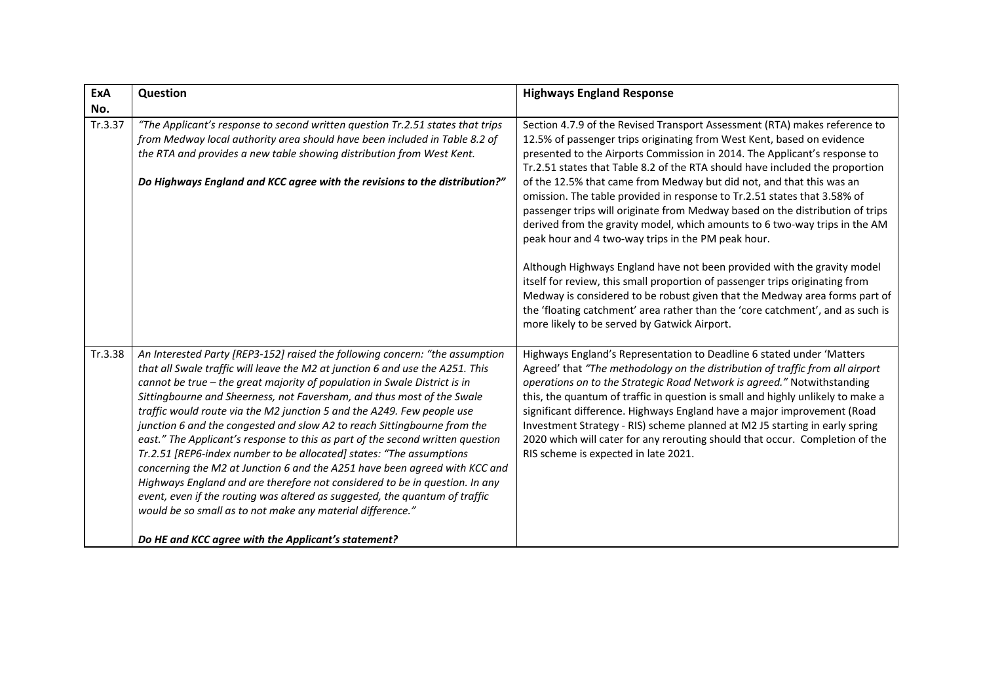| ExA     | Question                                                                                                                                                                                                                                                                                                                                                                                                                                                                                                                                                                                                                                                                                                                                                                                                                                                                                                                                                                                              | <b>Highways England Response</b>                                                                                                                                                                                                                                                                                                                                                                                                                                                                                                                                                                                                                                                                                                                                                                                                                                                                                                                                                                                      |
|---------|-------------------------------------------------------------------------------------------------------------------------------------------------------------------------------------------------------------------------------------------------------------------------------------------------------------------------------------------------------------------------------------------------------------------------------------------------------------------------------------------------------------------------------------------------------------------------------------------------------------------------------------------------------------------------------------------------------------------------------------------------------------------------------------------------------------------------------------------------------------------------------------------------------------------------------------------------------------------------------------------------------|-----------------------------------------------------------------------------------------------------------------------------------------------------------------------------------------------------------------------------------------------------------------------------------------------------------------------------------------------------------------------------------------------------------------------------------------------------------------------------------------------------------------------------------------------------------------------------------------------------------------------------------------------------------------------------------------------------------------------------------------------------------------------------------------------------------------------------------------------------------------------------------------------------------------------------------------------------------------------------------------------------------------------|
| No.     |                                                                                                                                                                                                                                                                                                                                                                                                                                                                                                                                                                                                                                                                                                                                                                                                                                                                                                                                                                                                       |                                                                                                                                                                                                                                                                                                                                                                                                                                                                                                                                                                                                                                                                                                                                                                                                                                                                                                                                                                                                                       |
| Tr.3.37 | "The Applicant's response to second written question Tr.2.51 states that trips<br>from Medway local authority area should have been included in Table 8.2 of<br>the RTA and provides a new table showing distribution from West Kent.<br>Do Highways England and KCC agree with the revisions to the distribution?"                                                                                                                                                                                                                                                                                                                                                                                                                                                                                                                                                                                                                                                                                   | Section 4.7.9 of the Revised Transport Assessment (RTA) makes reference to<br>12.5% of passenger trips originating from West Kent, based on evidence<br>presented to the Airports Commission in 2014. The Applicant's response to<br>Tr.2.51 states that Table 8.2 of the RTA should have included the proportion<br>of the 12.5% that came from Medway but did not, and that this was an<br>omission. The table provided in response to Tr.2.51 states that 3.58% of<br>passenger trips will originate from Medway based on the distribution of trips<br>derived from the gravity model, which amounts to 6 two-way trips in the AM<br>peak hour and 4 two-way trips in the PM peak hour.<br>Although Highways England have not been provided with the gravity model<br>itself for review, this small proportion of passenger trips originating from<br>Medway is considered to be robust given that the Medway area forms part of<br>the 'floating catchment' area rather than the 'core catchment', and as such is |
| Tr.3.38 | An Interested Party [REP3-152] raised the following concern: "the assumption<br>that all Swale traffic will leave the M2 at junction 6 and use the A251. This<br>cannot be true - the great majority of population in Swale District is in<br>Sittingbourne and Sheerness, not Faversham, and thus most of the Swale<br>traffic would route via the M2 junction 5 and the A249. Few people use<br>junction 6 and the congested and slow A2 to reach Sittingbourne from the<br>east." The Applicant's response to this as part of the second written question<br>Tr.2.51 [REP6-index number to be allocated] states: "The assumptions<br>concerning the M2 at Junction 6 and the A251 have been agreed with KCC and<br>Highways England and are therefore not considered to be in question. In any<br>event, even if the routing was altered as suggested, the quantum of traffic<br>would be so small as to not make any material difference."<br>Do HE and KCC agree with the Applicant's statement? | more likely to be served by Gatwick Airport.<br>Highways England's Representation to Deadline 6 stated under 'Matters<br>Agreed' that "The methodology on the distribution of traffic from all airport<br>operations on to the Strategic Road Network is agreed." Notwithstanding<br>this, the quantum of traffic in question is small and highly unlikely to make a<br>significant difference. Highways England have a major improvement (Road<br>Investment Strategy - RIS) scheme planned at M2 J5 starting in early spring<br>2020 which will cater for any rerouting should that occur. Completion of the<br>RIS scheme is expected in late 2021.                                                                                                                                                                                                                                                                                                                                                                |